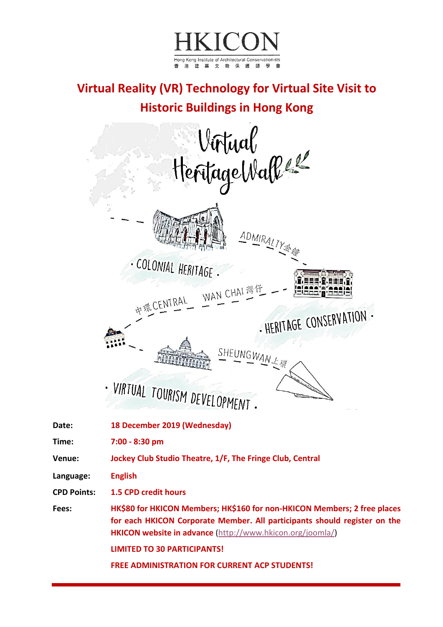

## **Virtual Reality (VR) Technology for Virtual Site Visit to Historic Buildings in Hong Kong**